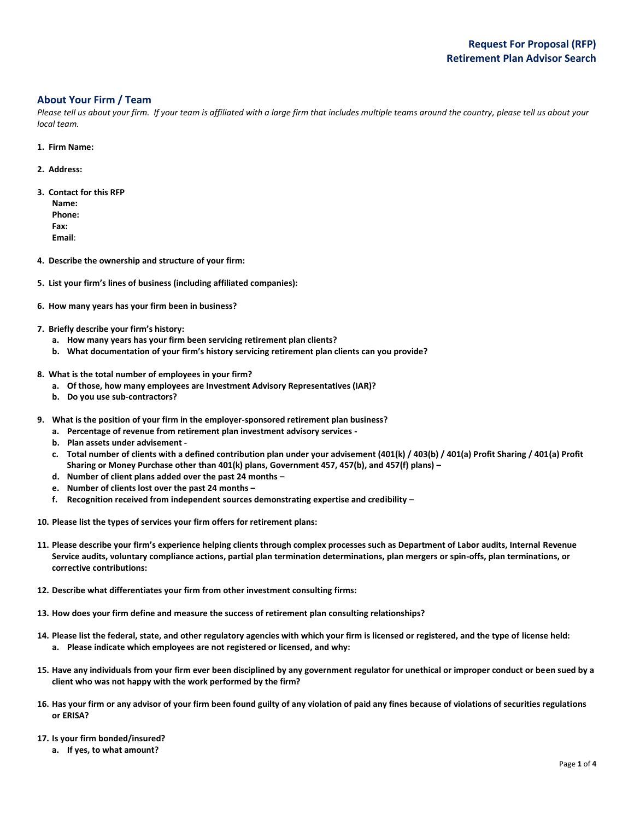### **About Your Firm / Team**

Please tell us about your firm. If your team is affiliated with a large firm that includes multiple teams around the country, please tell us about your *local team.*

- **1. Firm Name:**
- **2. Address:**
- **3. Contact for this RFP**
	- **Name: Phone: Fax: Email**:
- **4. Describe the ownership and structure of your firm:**
- **5. List your firm's lines of business (including affiliated companies):**
- **6. How many years has your firm been in business?**
- **7. Briefly describe your firm's history:**
	- **a. How many years has your firm been servicing retirement plan clients?**
	- **b. What documentation of your firm's history servicing retirement plan clients can you provide?**
- **8. What is the total number of employees in your firm?**
	- **a. Of those, how many employees are Investment Advisory Representatives (IAR)?**
	- **b. Do you use sub-contractors?**
- **9. What is the position of your firm in the employer-sponsored retirement plan business?**
	- **a. Percentage of revenue from retirement plan investment advisory services -**
	- **b. Plan assets under advisement -**
	- **c. Total number of clients with a defined contribution plan under your advisement (401(k) / 403(b) / 401(a) Profit Sharing / 401(a) Profit Sharing or Money Purchase other than 401(k) plans, Government 457, 457(b), and 457(f) plans) –**
	- **d. Number of client plans added over the past 24 months –**
	- **e. Number of clients lost over the past 24 months –**
	- **f. Recognition received from independent sources demonstrating expertise and credibility –**
- **10. Please list the types of services your firm offers for retirement plans:**
- **11. Please describe your firm's experience helping clients through complex processes such as Department of Labor audits, Internal Revenue Service audits, voluntary compliance actions, partial plan termination determinations, plan mergers or spin-offs, plan terminations, or corrective contributions:**
- **12. Describe what differentiates your firm from other investment consulting firms:**
- **13. How does your firm define and measure the success of retirement plan consulting relationships?**
- **14. Please list the federal, state, and other regulatory agencies with which your firm is licensed or registered, and the type of license held: a. Please indicate which employees are not registered or licensed, and why:**
- **15. Have any individuals from your firm ever been disciplined by any government regulator for unethical or improper conduct or been sued by a client who was not happy with the work performed by the firm?**
- **16. Has your firm or any advisor of your firm been found guilty of any violation of paid any fines because of violations of securities regulations or ERISA?**
- **17. Is your firm bonded/insured?** 
	- **a. If yes, to what amount?**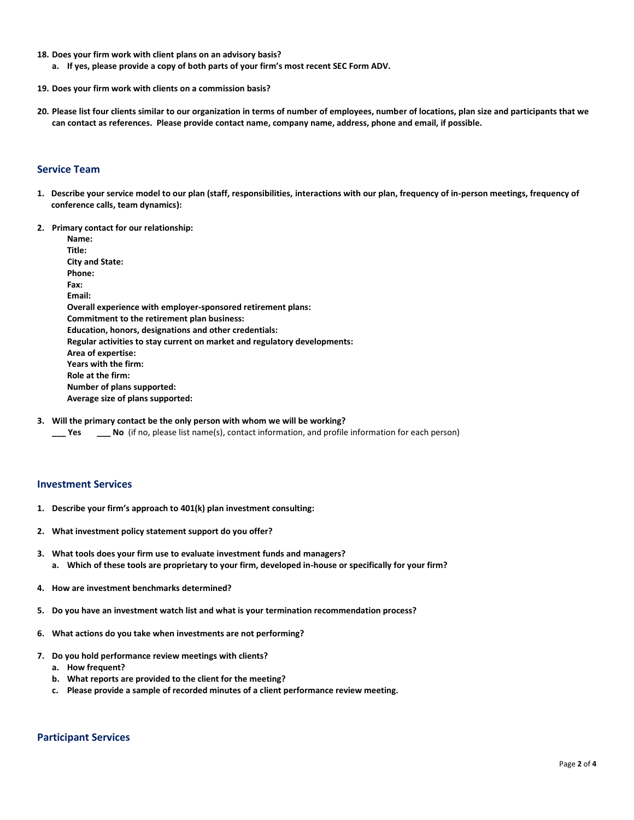- **18. Does your firm work with client plans on an advisory basis?**
	- **a. If yes, please provide a copy of both parts of your firm's most recent SEC Form ADV.**
- **19. Does your firm work with clients on a commission basis?**
- **20. Please list four clients similar to our organization in terms of number of employees, number of locations, plan size and participants that we can contact as references. Please provide contact name, company name, address, phone and email, if possible.**

#### **Service Team**

- **1. Describe your service model to our plan (staff, responsibilities, interactions with our plan, frequency of in-person meetings, frequency of conference calls, team dynamics):**
- **2. Primary contact for our relationship:**

**Name: Title: City and State: Phone: Fax: Email: Overall experience with employer-sponsored retirement plans: Commitment to the retirement plan business: Education, honors, designations and other credentials: Regular activities to stay current on market and regulatory developments: Area of expertise: Years with the firm: Role at the firm: Number of plans supported: Average size of plans supported:**

**3. Will the primary contact be the only person with whom we will be working?**

**\_\_\_ Yes \_\_\_ No** (if no, please list name(s), contact information, and profile information for each person)

#### **Investment Services**

- **1. Describe your firm's approach to 401(k) plan investment consulting:**
- **2. What investment policy statement support do you offer?**
- **3. What tools does your firm use to evaluate investment funds and managers? a. Which of these tools are proprietary to your firm, developed in-house or specifically for your firm?**
- **4. How are investment benchmarks determined?**
- **5. Do you have an investment watch list and what is your termination recommendation process?**
- **6. What actions do you take when investments are not performing?**
- **7. Do you hold performance review meetings with clients?**
	- **a. How frequent?**
	- **b. What reports are provided to the client for the meeting?**
	- **c. Please provide a sample of recorded minutes of a client performance review meeting.**

# **Participant Services**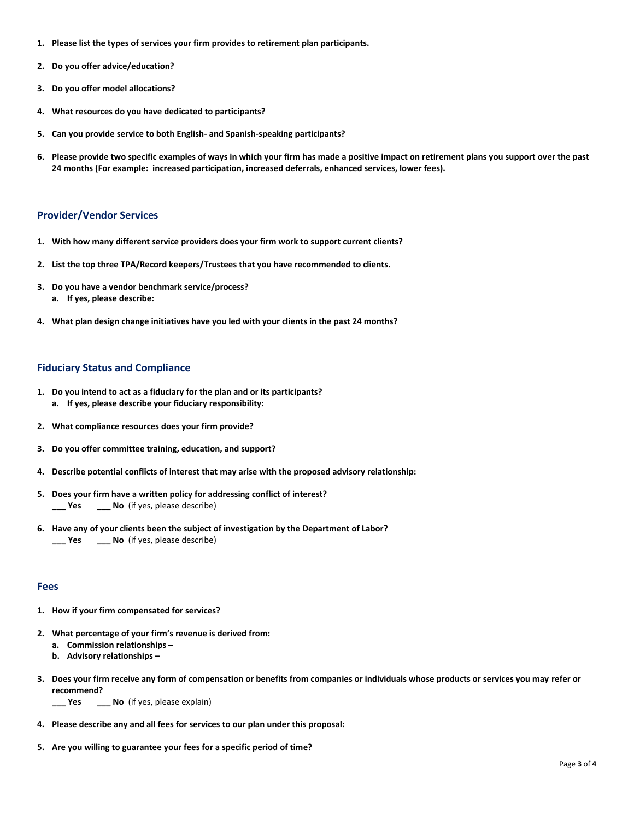- **1. Please list the types of services your firm provides to retirement plan participants.**
- **2. Do you offer advice/education?**
- **3. Do you offer model allocations?**
- **4. What resources do you have dedicated to participants?**
- **5. Can you provide service to both English- and Spanish-speaking participants?**
- **6. Please provide two specific examples of ways in which your firm has made a positive impact on retirement plans you support over the past 24 months (For example: increased participation, increased deferrals, enhanced services, lower fees).**

#### **Provider/Vendor Services**

- **1. With how many different service providers does your firm work to support current clients?**
- **2. List the top three TPA/Record keepers/Trustees that you have recommended to clients.**
- **3. Do you have a vendor benchmark service/process? a. If yes, please describe:**
- **4. What plan design change initiatives have you led with your clients in the past 24 months?**

#### **Fiduciary Status and Compliance**

- **1. Do you intend to act as a fiduciary for the plan and or its participants? a. If yes, please describe your fiduciary responsibility:**
- **2. What compliance resources does your firm provide?**
- **3. Do you offer committee training, education, and support?**
- **4. Describe potential conflicts of interest that may arise with the proposed advisory relationship:**
- **5. Does your firm have a written policy for addressing conflict of interest? \_\_\_ Yes \_\_\_ No** (if yes, please describe)
- **6. Have any of your clients been the subject of investigation by the Department of Labor? \_\_\_ Yes \_\_\_ No** (if yes, please describe)

#### **Fees**

- **1. How if your firm compensated for services?**
- **2. What percentage of your firm's revenue is derived from: a. Commission relationships –**
	- **b. Advisory relationships –**
- **3. Does your firm receive any form of compensation or benefits from companies or individuals whose products or services you may refer or recommend?**

**\_\_\_ Yes \_\_\_ No** (if yes, please explain)

- **4. Please describe any and all fees for services to our plan under this proposal:**
- **5. Are you willing to guarantee your fees for a specific period of time?**